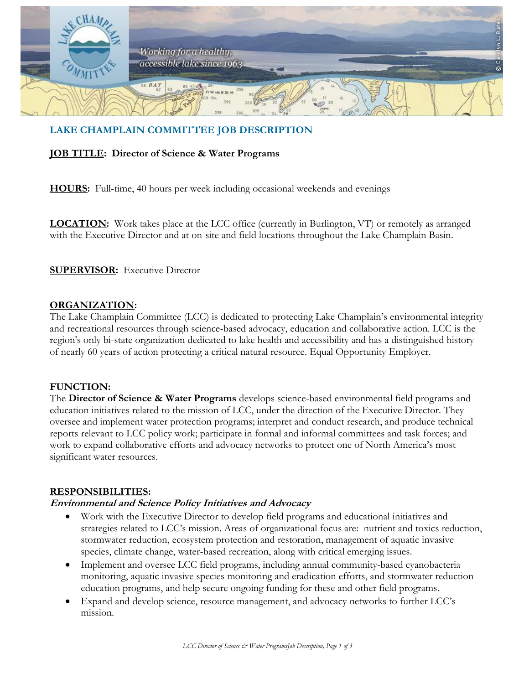

# **LAKE CHAMPLAIN COMMITTEE JOB DESCRIPTION**

### **JOB TITLE: Director of Science & Water Programs**

**HOURS:** Full-time, 40 hours per week including occasional weekends and evenings

**LOCATION:** Work takes place at the LCC office (currently in Burlington, VT) or remotely as arranged with the Executive Director and at on-site and field locations throughout the Lake Champlain Basin.

### **SUPERVISOR:** Executive Director

### **ORGANIZATION:**

The Lake Champlain Committee (LCC) is dedicated to protecting Lake Champlain's environmental integrity and recreational resources through science-based advocacy, education and collaborative action. LCC is the region's only bi-state organization dedicated to lake health and accessibility and has a distinguished history of nearly 60 years of action protecting a critical natural resource. Equal Opportunity Employer.

### **FUNCTION:**

The **Director of Science & Water Programs** develops science-based environmental field programs and education initiatives related to the mission of LCC, under the direction of the Executive Director. They oversee and implement water protection programs; interpret and conduct research, and produce technical reports relevant to LCC policy work; participate in formal and informal committees and task forces; and work to expand collaborative efforts and advocacy networks to protect one of North America's most significant water resources.

### **RESPONSIBILITIES:**

### **Environmental and Science Policy Initiatives and Advocacy**

- Work with the Executive Director to develop field programs and educational initiatives and strategies related to LCC's mission. Areas of organizational focus are: nutrient and toxics reduction, stormwater reduction, ecosystem protection and restoration, management of aquatic invasive species, climate change, water-based recreation, along with critical emerging issues.
- Implement and oversee LCC field programs, including annual community-based cyanobacteria monitoring, aquatic invasive species monitoring and eradication efforts, and stormwater reduction education programs, and help secure ongoing funding for these and other field programs.
- Expand and develop science, resource management, and advocacy networks to further LCC's mission.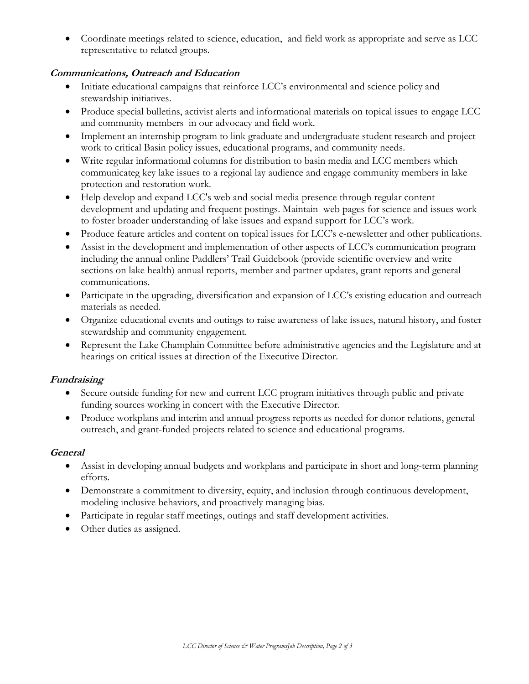• Coordinate meetings related to science, education, and field work as appropriate and serve as LCC representative to related groups.

## **Communications, Outreach and Education**

- Initiate educational campaigns that reinforce LCC's environmental and science policy and stewardship initiatives.
- Produce special bulletins, activist alerts and informational materials on topical issues to engage LCC and community members in our advocacy and field work.
- Implement an internship program to link graduate and undergraduate student research and project work to critical Basin policy issues, educational programs, and community needs.
- Write regular informational columns for distribution to basin media and LCC members which communicateg key lake issues to a regional lay audience and engage community members in lake protection and restoration work.
- Help develop and expand LCC's web and social media presence through regular content development and updating and frequent postings. Maintain web pages for science and issues work to foster broader understanding of lake issues and expand support for LCC's work.
- Produce feature articles and content on topical issues for LCC's e-newsletter and other publications.
- Assist in the development and implementation of other aspects of LCC's communication program including the annual online Paddlers' Trail Guidebook (provide scientific overview and write sections on lake health) annual reports, member and partner updates, grant reports and general communications.
- Participate in the upgrading, diversification and expansion of LCC's existing education and outreach materials as needed.
- Organize educational events and outings to raise awareness of lake issues, natural history, and foster stewardship and community engagement.
- Represent the Lake Champlain Committee before administrative agencies and the Legislature and at hearings on critical issues at direction of the Executive Director.

## **Fundraising**

- Secure outside funding for new and current LCC program initiatives through public and private funding sources working in concert with the Executive Director.
- Produce workplans and interim and annual progress reports as needed for donor relations, general outreach, and grant-funded projects related to science and educational programs.

## **General**

- Assist in developing annual budgets and workplans and participate in short and long-term planning efforts.
- Demonstrate a commitment to diversity, equity, and inclusion through continuous development, modeling inclusive behaviors, and proactively managing bias.
- Participate in regular staff meetings, outings and staff development activities.
- Other duties as assigned.